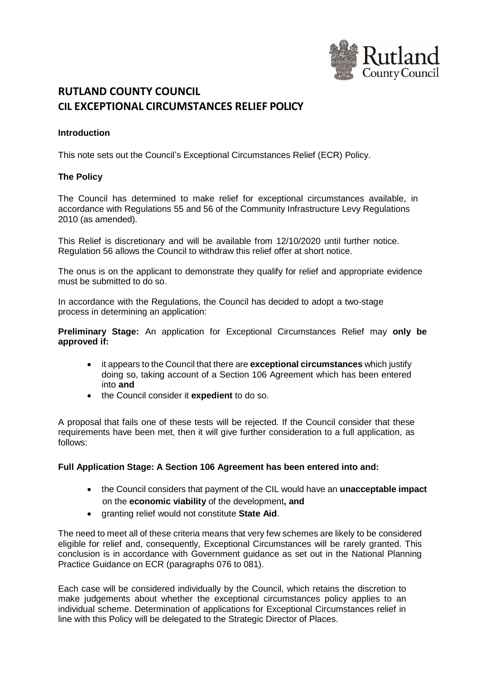

# **RUTLAND COUNTY COUNCIL CIL EXCEPTIONAL CIRCUMSTANCES RELIEF POLICY**

## **Introduction**

This note sets out the Council's Exceptional Circumstances Relief (ECR) Policy.

#### **The Policy**

The Council has determined to make relief for exceptional circumstances available, in accordance with Regulations 55 and 56 of the Community Infrastructure Levy Regulations 2010 (as amended).

This Relief is discretionary and will be available from 12/10/2020 until further notice. Regulation 56 allows the Council to withdraw this relief offer at short notice.

The onus is on the applicant to demonstrate they qualify for relief and appropriate evidence must be submitted to do so.

In accordance with the Regulations, the Council has decided to adopt a two-stage process in determining an application:

**Preliminary Stage:** An application for Exceptional Circumstances Relief may **only be approved if:**

- it appears to the Council that there are **exceptional circumstances** which justify doing so, taking account of a Section 106 Agreement which has been entered into **and**
- the Council consider it **expedient** to do so.

A proposal that fails one of these tests will be rejected. If the Council consider that these requirements have been met, then it will give further consideration to a full application, as follows:

#### **Full Application Stage: A Section 106 Agreement has been entered into and:**

- the Council considers that payment of the CIL would have an **unacceptable impact** on the **economic viability** of the development**, and**
- granting relief would not constitute **State Aid**.

The need to meet all of these criteria means that very few schemes are likely to be considered eligible for relief and, consequently, Exceptional Circumstances will be rarely granted. This conclusion is in accordance with Government guidance as set out in the National Planning Practice Guidance on ECR (paragraphs 076 to 081).

Each case will be considered individually by the Council, which retains the discretion to make judgements about whether the exceptional circumstances policy applies to an individual scheme. Determination of applications for Exceptional Circumstances relief in line with this Policy will be delegated to the Strategic Director of Places.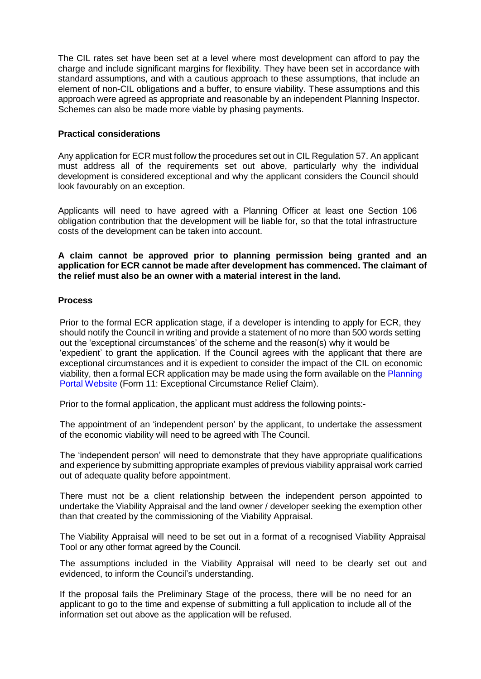The CIL rates set have been set at a level where most development can afford to pay the charge and include significant margins for flexibility. They have been set in accordance with standard assumptions, and with a cautious approach to these assumptions, that include an element of non-CIL obligations and a buffer, to ensure viability. These assumptions and this approach were agreed as appropriate and reasonable by an independent Planning Inspector. Schemes can also be made more viable by phasing payments.

#### **Practical considerations**

Any application for ECR must follow the procedures set out in CIL Regulation 57. An applicant must address all of the requirements set out above, particularly why the individual development is considered exceptional and why the applicant considers the Council should look favourably on an exception.

Applicants will need to have agreed with a Planning Officer at least one Section 106 obligation contribution that the development will be liable for, so that the total infrastructure costs of the development can be taken into account.

**A claim cannot be approved prior to planning permission being granted and an application for ECR cannot be made after development has commenced. The claimant of the relief must also be an owner with a material interest in the land.**

#### **Process**

Prior to the formal ECR application stage, if a developer is intending to apply for ECR, they should notify the Council in writing and provide a statement of no more than 500 words setting out the 'exceptional circumstances' of the scheme and the reason(s) why it would be 'expedient' to grant the application. If the Council agrees with the applicant that there are exceptional circumstances and it is expedient to consider the impact of the CIL on economic viability, then a formal ECR application may be made using the form available on the Planning Portal Website (Form 11: Exceptional Circumstance Relief Claim).

Prior to the formal application, the applicant must address the following points:-

The appointment of an 'independent person' by the applicant, to undertake the assessment of the economic viability will need to be agreed with The Council.

The 'independent person' will need to demonstrate that they have appropriate qualifications and experience by submitting appropriate examples of previous viability appraisal work carried out of adequate quality before appointment.

There must not be a client relationship between the independent person appointed to undertake the Viability Appraisal and the land owner / developer seeking the exemption other than that created by the commissioning of the Viability Appraisal.

The Viability Appraisal will need to be set out in a format of a recognised Viability Appraisal Tool or any other format agreed by the Council.

The assumptions included in the Viability Appraisal will need to be clearly set out and evidenced, to inform the Council's understanding.

If the proposal fails the Preliminary Stage of the process, there will be no need for an applicant to go to the time and expense of submitting a full application to include all of the information set out above as the application will be refused.